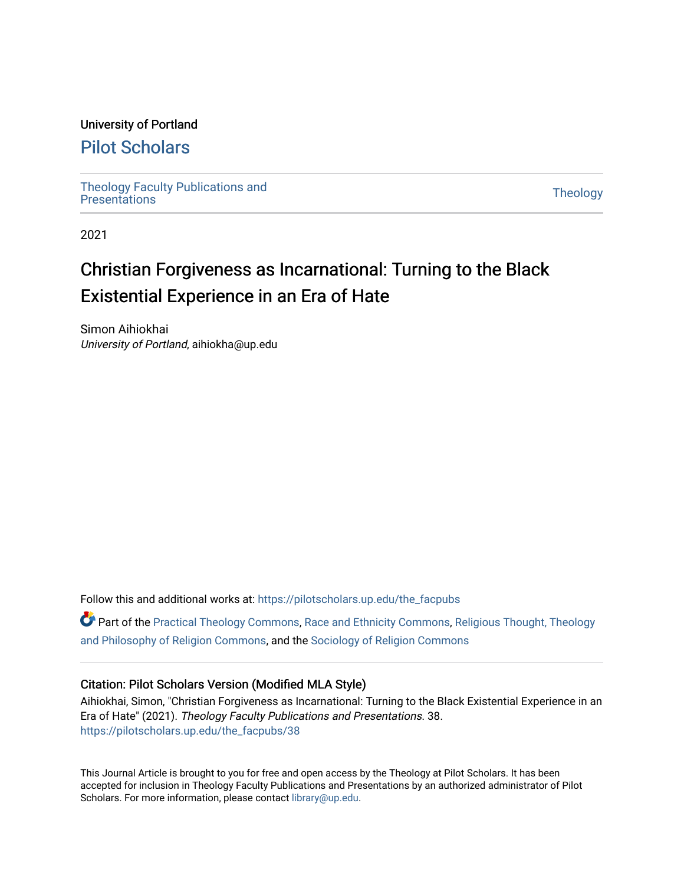### University of Portland

## [Pilot Scholars](https://pilotscholars.up.edu/)

[Theology Faculty Publications and](https://pilotscholars.up.edu/the_facpubs) Theology Faculty Publications and<br>[Presentations](https://pilotscholars.up.edu/the_facpubs) Theology

2021

# Christian Forgiveness as Incarnational: Turning to the Black Existential Experience in an Era of Hate

Simon Aihiokhai University of Portland, aihiokha@up.edu

Follow this and additional works at: [https://pilotscholars.up.edu/the\\_facpubs](https://pilotscholars.up.edu/the_facpubs?utm_source=pilotscholars.up.edu%2Fthe_facpubs%2F38&utm_medium=PDF&utm_campaign=PDFCoverPages)

Part of the [Practical Theology Commons](http://network.bepress.com/hgg/discipline/1186?utm_source=pilotscholars.up.edu%2Fthe_facpubs%2F38&utm_medium=PDF&utm_campaign=PDFCoverPages), [Race and Ethnicity Commons,](http://network.bepress.com/hgg/discipline/426?utm_source=pilotscholars.up.edu%2Fthe_facpubs%2F38&utm_medium=PDF&utm_campaign=PDFCoverPages) [Religious Thought, Theology](http://network.bepress.com/hgg/discipline/544?utm_source=pilotscholars.up.edu%2Fthe_facpubs%2F38&utm_medium=PDF&utm_campaign=PDFCoverPages)  [and Philosophy of Religion Commons](http://network.bepress.com/hgg/discipline/544?utm_source=pilotscholars.up.edu%2Fthe_facpubs%2F38&utm_medium=PDF&utm_campaign=PDFCoverPages), and the [Sociology of Religion Commons](http://network.bepress.com/hgg/discipline/1365?utm_source=pilotscholars.up.edu%2Fthe_facpubs%2F38&utm_medium=PDF&utm_campaign=PDFCoverPages)

#### Citation: Pilot Scholars Version (Modified MLA Style)

Aihiokhai, Simon, "Christian Forgiveness as Incarnational: Turning to the Black Existential Experience in an Era of Hate" (2021). Theology Faculty Publications and Presentations. 38. [https://pilotscholars.up.edu/the\\_facpubs/38](https://pilotscholars.up.edu/the_facpubs/38?utm_source=pilotscholars.up.edu%2Fthe_facpubs%2F38&utm_medium=PDF&utm_campaign=PDFCoverPages) 

This Journal Article is brought to you for free and open access by the Theology at Pilot Scholars. It has been accepted for inclusion in Theology Faculty Publications and Presentations by an authorized administrator of Pilot Scholars. For more information, please contact [library@up.edu](mailto:library@up.edu).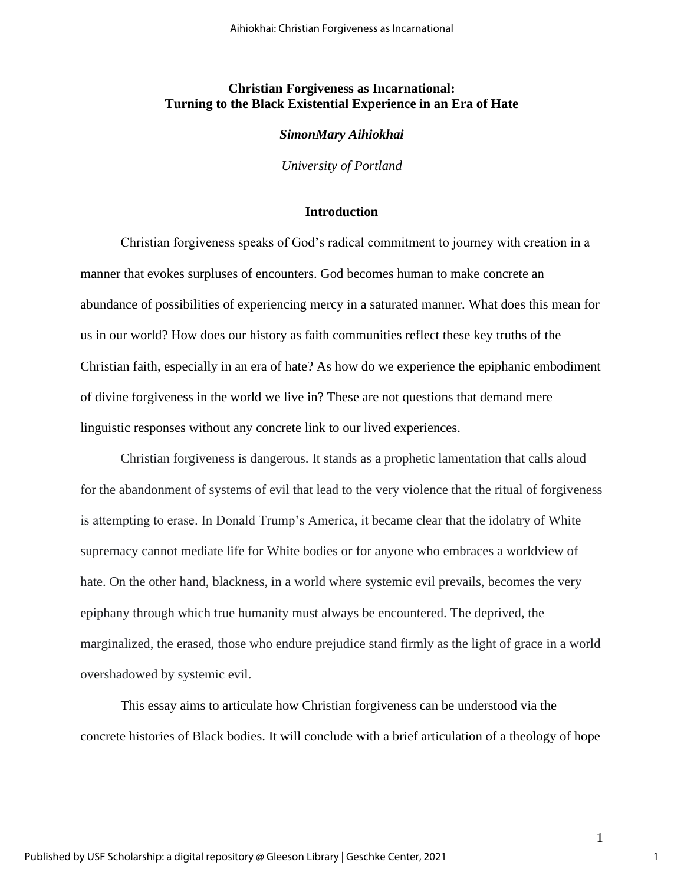#### **Christian Forgiveness as Incarnational: Turning to the Black Existential Experience in an Era of Hate**

#### *SimonMary Aihiokhai*

*University of Portland*

#### **Introduction**

Christian forgiveness speaks of God's radical commitment to journey with creation in a manner that evokes surpluses of encounters. God becomes human to make concrete an abundance of possibilities of experiencing mercy in a saturated manner. What does this mean for us in our world? How does our history as faith communities reflect these key truths of the Christian faith, especially in an era of hate? As how do we experience the epiphanic embodiment of divine forgiveness in the world we live in? These are not questions that demand mere linguistic responses without any concrete link to our lived experiences.

Christian forgiveness is dangerous. It stands as a prophetic lamentation that calls aloud for the abandonment of systems of evil that lead to the very violence that the ritual of forgiveness is attempting to erase. In Donald Trump's America, it became clear that the idolatry of White supremacy cannot mediate life for White bodies or for anyone who embraces a worldview of hate. On the other hand, blackness, in a world where systemic evil prevails, becomes the very epiphany through which true humanity must always be encountered. The deprived, the marginalized, the erased, those who endure prejudice stand firmly as the light of grace in a world overshadowed by systemic evil.

This essay aims to articulate how Christian forgiveness can be understood via the concrete histories of Black bodies. It will conclude with a brief articulation of a theology of hope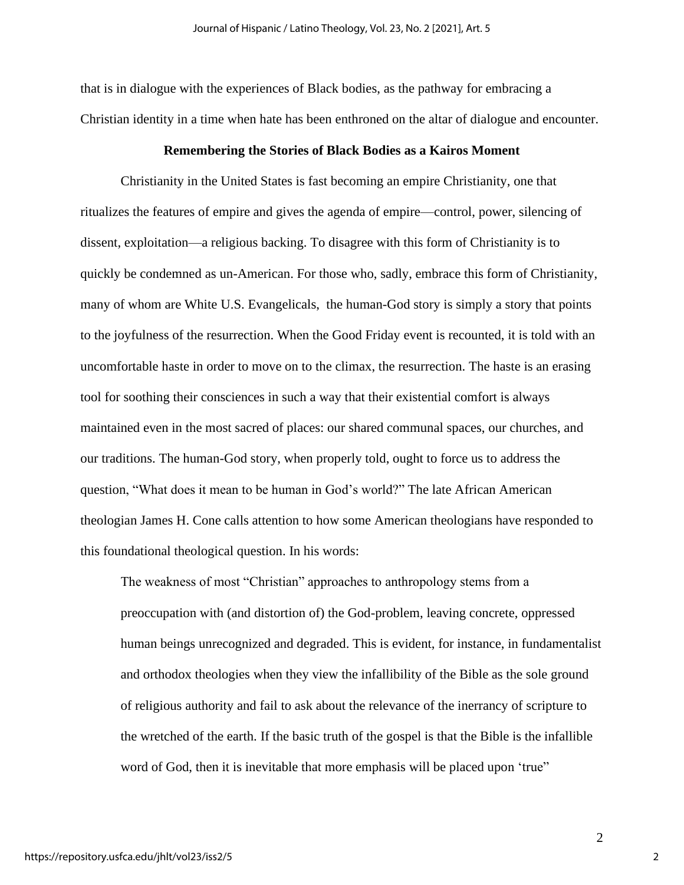that is in dialogue with the experiences of Black bodies, as the pathway for embracing a Christian identity in a time when hate has been enthroned on the altar of dialogue and encounter.

#### **Remembering the Stories of Black Bodies as a Kairos Moment**

Christianity in the United States is fast becoming an empire Christianity, one that ritualizes the features of empire and gives the agenda of empire—control, power, silencing of dissent, exploitation—a religious backing. To disagree with this form of Christianity is to quickly be condemned as un-American. For those who, sadly, embrace this form of Christianity, many of whom are White U.S. Evangelicals, the human-God story is simply a story that points to the joyfulness of the resurrection. When the Good Friday event is recounted, it is told with an uncomfortable haste in order to move on to the climax, the resurrection. The haste is an erasing tool for soothing their consciences in such a way that their existential comfort is always maintained even in the most sacred of places: our shared communal spaces, our churches, and our traditions. The human-God story, when properly told, ought to force us to address the question, "What does it mean to be human in God's world?" The late African American theologian James H. Cone calls attention to how some American theologians have responded to this foundational theological question. In his words:

The weakness of most "Christian" approaches to anthropology stems from a preoccupation with (and distortion of) the God-problem, leaving concrete, oppressed human beings unrecognized and degraded. This is evident, for instance, in fundamentalist and orthodox theologies when they view the infallibility of the Bible as the sole ground of religious authority and fail to ask about the relevance of the inerrancy of scripture to the wretched of the earth. If the basic truth of the gospel is that the Bible is the infallible word of God, then it is inevitable that more emphasis will be placed upon 'true"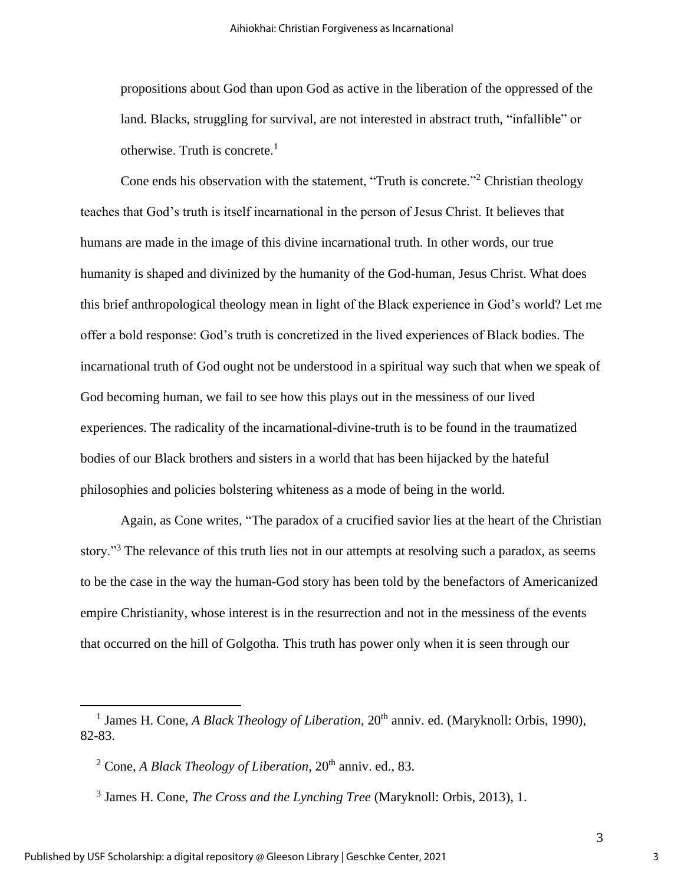propositions about God than upon God as active in the liberation of the oppressed of the land. Blacks, struggling for survival, are not interested in abstract truth, "infallible" or otherwise. Truth is concrete. $<sup>1</sup>$ </sup>

Cone ends his observation with the statement, "Truth is concrete."<sup>2</sup> Christian theology teaches that God's truth is itself incarnational in the person of Jesus Christ. It believes that humans are made in the image of this divine incarnational truth. In other words, our true humanity is shaped and divinized by the humanity of the God-human, Jesus Christ. What does this brief anthropological theology mean in light of the Black experience in God's world? Let me offer a bold response: God's truth is concretized in the lived experiences of Black bodies. The incarnational truth of God ought not be understood in a spiritual way such that when we speak of God becoming human, we fail to see how this plays out in the messiness of our lived experiences. The radicality of the incarnational-divine-truth is to be found in the traumatized bodies of our Black brothers and sisters in a world that has been hijacked by the hateful philosophies and policies bolstering whiteness as a mode of being in the world.

Again, as Cone writes, "The paradox of a crucified savior lies at the heart of the Christian story."<sup>3</sup> The relevance of this truth lies not in our attempts at resolving such a paradox, as seems to be the case in the way the human-God story has been told by the benefactors of Americanized empire Christianity, whose interest is in the resurrection and not in the messiness of the events that occurred on the hill of Golgotha. This truth has power only when it is seen through our

<sup>&</sup>lt;sup>1</sup> James H. Cone, *A Black Theology of Liberation*, 20<sup>th</sup> anniv. ed. (Maryknoll: Orbis, 1990), 82-83.

<sup>&</sup>lt;sup>2</sup> Cone, *A Black Theology of Liberation*,  $20<sup>th</sup>$  anniv. ed., 83.

<sup>3</sup> James H. Cone, *The Cross and the Lynching Tree* (Maryknoll: Orbis, 2013), 1.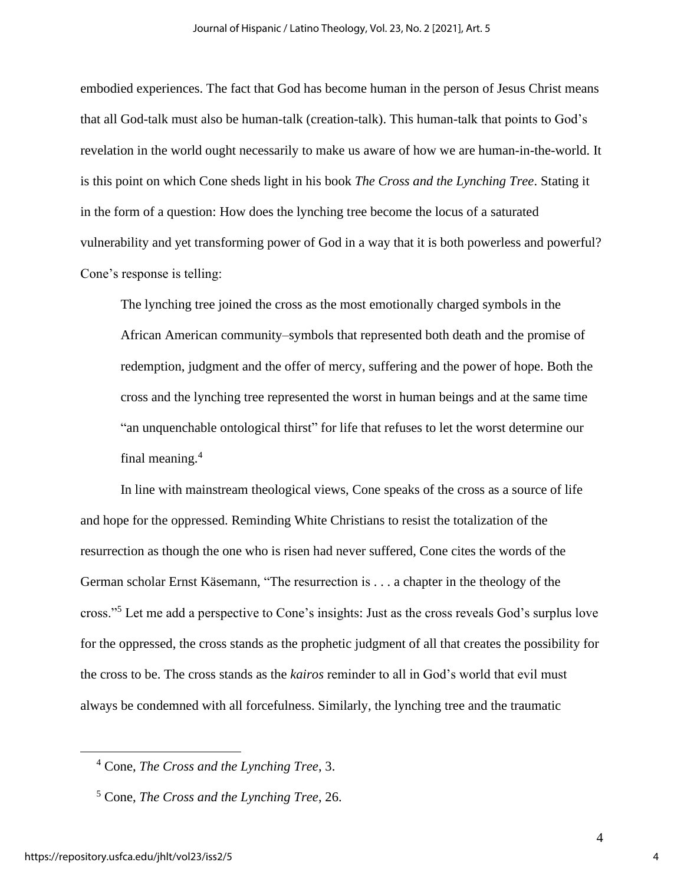embodied experiences. The fact that God has become human in the person of Jesus Christ means that all God-talk must also be human-talk (creation-talk). This human-talk that points to God's revelation in the world ought necessarily to make us aware of how we are human-in-the-world. It is this point on which Cone sheds light in his book *The Cross and the Lynching Tree*. Stating it in the form of a question: How does the lynching tree become the locus of a saturated vulnerability and yet transforming power of God in a way that it is both powerless and powerful? Cone's response is telling:

The lynching tree joined the cross as the most emotionally charged symbols in the African American community–symbols that represented both death and the promise of redemption, judgment and the offer of mercy, suffering and the power of hope. Both the cross and the lynching tree represented the worst in human beings and at the same time "an unquenchable ontological thirst" for life that refuses to let the worst determine our final meaning.<sup>4</sup>

In line with mainstream theological views, Cone speaks of the cross as a source of life and hope for the oppressed. Reminding White Christians to resist the totalization of the resurrection as though the one who is risen had never suffered, Cone cites the words of the German scholar Ernst Käsemann, "The resurrection is . . . a chapter in the theology of the cross."<sup>5</sup> Let me add a perspective to Cone's insights: Just as the cross reveals God's surplus love for the oppressed, the cross stands as the prophetic judgment of all that creates the possibility for the cross to be. The cross stands as the *kairos* reminder to all in God's world that evil must always be condemned with all forcefulness. Similarly, the lynching tree and the traumatic

<sup>4</sup> Cone, *The Cross and the Lynching Tree*, 3.

<sup>5</sup> Cone, *The Cross and the Lynching Tree*, 26.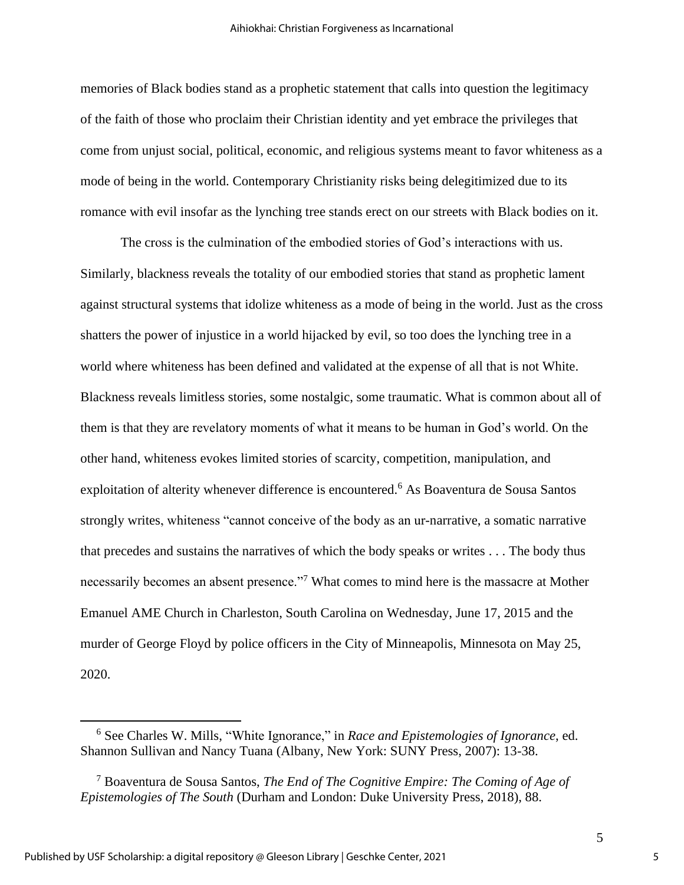memories of Black bodies stand as a prophetic statement that calls into question the legitimacy of the faith of those who proclaim their Christian identity and yet embrace the privileges that come from unjust social, political, economic, and religious systems meant to favor whiteness as a mode of being in the world. Contemporary Christianity risks being delegitimized due to its romance with evil insofar as the lynching tree stands erect on our streets with Black bodies on it.

The cross is the culmination of the embodied stories of God's interactions with us. Similarly, blackness reveals the totality of our embodied stories that stand as prophetic lament against structural systems that idolize whiteness as a mode of being in the world. Just as the cross shatters the power of injustice in a world hijacked by evil, so too does the lynching tree in a world where whiteness has been defined and validated at the expense of all that is not White. Blackness reveals limitless stories, some nostalgic, some traumatic. What is common about all of them is that they are revelatory moments of what it means to be human in God's world. On the other hand, whiteness evokes limited stories of scarcity, competition, manipulation, and exploitation of alterity whenever difference is encountered.<sup>6</sup> As Boaventura de Sousa Santos strongly writes, whiteness "cannot conceive of the body as an ur-narrative, a somatic narrative that precedes and sustains the narratives of which the body speaks or writes . . . The body thus necessarily becomes an absent presence."<sup>7</sup> What comes to mind here is the massacre at Mother Emanuel AME Church in Charleston, South Carolina on Wednesday, June 17, 2015 and the murder of George Floyd by police officers in the City of Minneapolis, Minnesota on May 25, 2020.

<sup>6</sup> See Charles W. Mills, "White Ignorance," in *Race and Epistemologies of Ignorance*, ed. Shannon Sullivan and Nancy Tuana (Albany, New York: SUNY Press, 2007): 13-38.

<sup>7</sup> Boaventura de Sousa Santos, *The End of The Cognitive Empire: The Coming of Age of Epistemologies of The South* (Durham and London: Duke University Press, 2018), 88.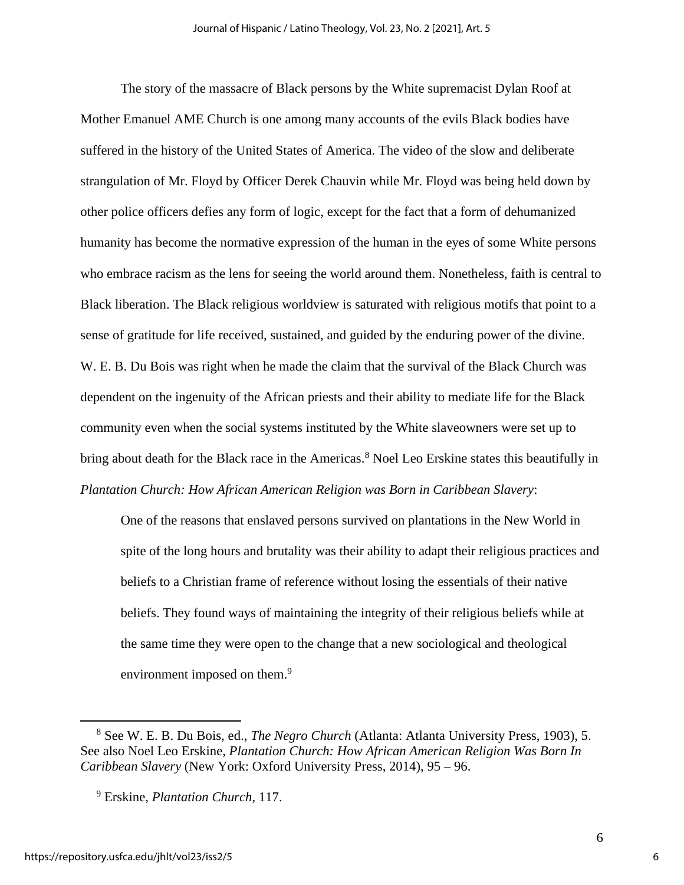The story of the massacre of Black persons by the White supremacist Dylan Roof at Mother Emanuel AME Church is one among many accounts of the evils Black bodies have suffered in the history of the United States of America. The video of the slow and deliberate strangulation of Mr. Floyd by Officer Derek Chauvin while Mr. Floyd was being held down by other police officers defies any form of logic, except for the fact that a form of dehumanized humanity has become the normative expression of the human in the eyes of some White persons who embrace racism as the lens for seeing the world around them. Nonetheless, faith is central to Black liberation. The Black religious worldview is saturated with religious motifs that point to a sense of gratitude for life received, sustained, and guided by the enduring power of the divine. W. E. B. Du Bois was right when he made the claim that the survival of the Black Church was dependent on the ingenuity of the African priests and their ability to mediate life for the Black community even when the social systems instituted by the White slaveowners were set up to bring about death for the Black race in the Americas.<sup>8</sup> Noel Leo Erskine states this beautifully in *Plantation Church: How African American Religion was Born in Caribbean Slavery*:

One of the reasons that enslaved persons survived on plantations in the New World in spite of the long hours and brutality was their ability to adapt their religious practices and beliefs to a Christian frame of reference without losing the essentials of their native beliefs. They found ways of maintaining the integrity of their religious beliefs while at the same time they were open to the change that a new sociological and theological environment imposed on them.<sup>9</sup>

<sup>8</sup> See W. E. B. Du Bois, ed., *The Negro Church* (Atlanta: Atlanta University Press, 1903), 5. See also Noel Leo Erskine, *Plantation Church: How African American Religion Was Born In Caribbean Slavery* (New York: Oxford University Press, 2014), 95 – 96.

<sup>9</sup> Erskine, *Plantation Church*, 117.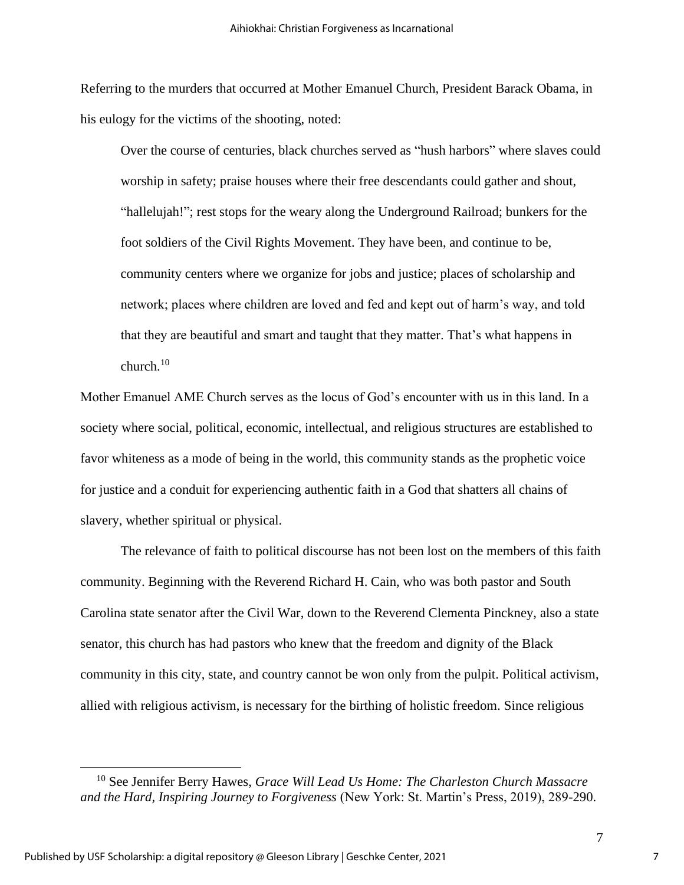Referring to the murders that occurred at Mother Emanuel Church, President Barack Obama, in his eulogy for the victims of the shooting, noted:

Over the course of centuries, black churches served as "hush harbors" where slaves could worship in safety; praise houses where their free descendants could gather and shout, "hallelujah!"; rest stops for the weary along the Underground Railroad; bunkers for the foot soldiers of the Civil Rights Movement. They have been, and continue to be, community centers where we organize for jobs and justice; places of scholarship and network; places where children are loved and fed and kept out of harm's way, and told that they are beautiful and smart and taught that they matter. That's what happens in church. $10$ 

Mother Emanuel AME Church serves as the locus of God's encounter with us in this land. In a society where social, political, economic, intellectual, and religious structures are established to favor whiteness as a mode of being in the world, this community stands as the prophetic voice for justice and a conduit for experiencing authentic faith in a God that shatters all chains of slavery, whether spiritual or physical.

The relevance of faith to political discourse has not been lost on the members of this faith community. Beginning with the Reverend Richard H. Cain, who was both pastor and South Carolina state senator after the Civil War, down to the Reverend Clementa Pinckney, also a state senator, this church has had pastors who knew that the freedom and dignity of the Black community in this city, state, and country cannot be won only from the pulpit. Political activism, allied with religious activism, is necessary for the birthing of holistic freedom. Since religious

<sup>10</sup> See Jennifer Berry Hawes, *Grace Will Lead Us Home: The Charleston Church Massacre and the Hard, Inspiring Journey to Forgiveness* (New York: St. Martin's Press, 2019), 289-290.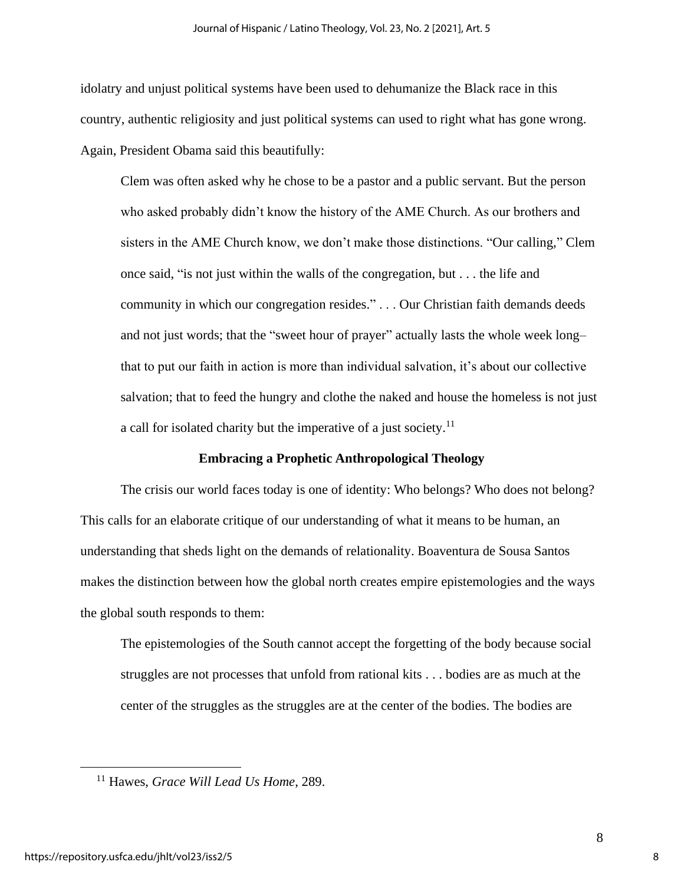idolatry and unjust political systems have been used to dehumanize the Black race in this country, authentic religiosity and just political systems can used to right what has gone wrong. Again, President Obama said this beautifully:

Clem was often asked why he chose to be a pastor and a public servant. But the person who asked probably didn't know the history of the AME Church. As our brothers and sisters in the AME Church know, we don't make those distinctions. "Our calling," Clem once said, "is not just within the walls of the congregation, but . . . the life and community in which our congregation resides." . . . Our Christian faith demands deeds and not just words; that the "sweet hour of prayer" actually lasts the whole week long– that to put our faith in action is more than individual salvation, it's about our collective salvation; that to feed the hungry and clothe the naked and house the homeless is not just a call for isolated charity but the imperative of a just society.<sup>11</sup>

#### **Embracing a Prophetic Anthropological Theology**

The crisis our world faces today is one of identity: Who belongs? Who does not belong? This calls for an elaborate critique of our understanding of what it means to be human, an understanding that sheds light on the demands of relationality. Boaventura de Sousa Santos makes the distinction between how the global north creates empire epistemologies and the ways the global south responds to them:

The epistemologies of the South cannot accept the forgetting of the body because social struggles are not processes that unfold from rational kits . . . bodies are as much at the center of the struggles as the struggles are at the center of the bodies. The bodies are

<sup>11</sup> Hawes, *Grace Will Lead Us Home*, 289.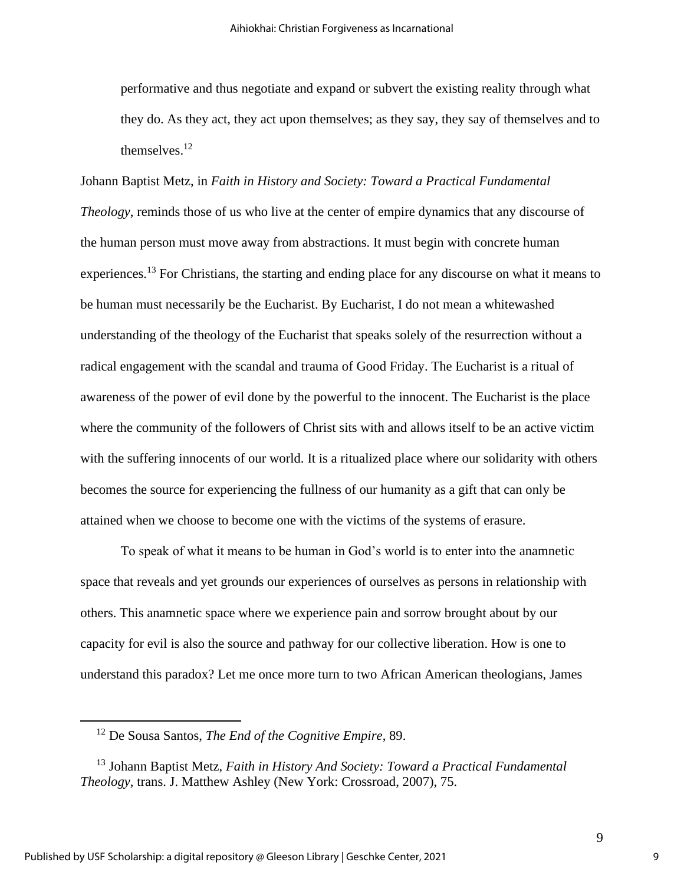performative and thus negotiate and expand or subvert the existing reality through what they do. As they act, they act upon themselves; as they say, they say of themselves and to themselves. $12$ 

Johann Baptist Metz, in *Faith in History and Society: Toward a Practical Fundamental Theology*, reminds those of us who live at the center of empire dynamics that any discourse of the human person must move away from abstractions. It must begin with concrete human experiences.<sup>13</sup> For Christians, the starting and ending place for any discourse on what it means to be human must necessarily be the Eucharist. By Eucharist, I do not mean a whitewashed understanding of the theology of the Eucharist that speaks solely of the resurrection without a radical engagement with the scandal and trauma of Good Friday. The Eucharist is a ritual of awareness of the power of evil done by the powerful to the innocent. The Eucharist is the place where the community of the followers of Christ sits with and allows itself to be an active victim with the suffering innocents of our world. It is a ritualized place where our solidarity with others becomes the source for experiencing the fullness of our humanity as a gift that can only be attained when we choose to become one with the victims of the systems of erasure.

To speak of what it means to be human in God's world is to enter into the anamnetic space that reveals and yet grounds our experiences of ourselves as persons in relationship with others. This anamnetic space where we experience pain and sorrow brought about by our capacity for evil is also the source and pathway for our collective liberation. How is one to understand this paradox? Let me once more turn to two African American theologians, James

<sup>12</sup> De Sousa Santos, *The End of the Cognitive Empire*, 89.

<sup>13</sup> Johann Baptist Metz, *Faith in History And Society: Toward a Practical Fundamental Theology*, trans. J. Matthew Ashley (New York: Crossroad, 2007), 75.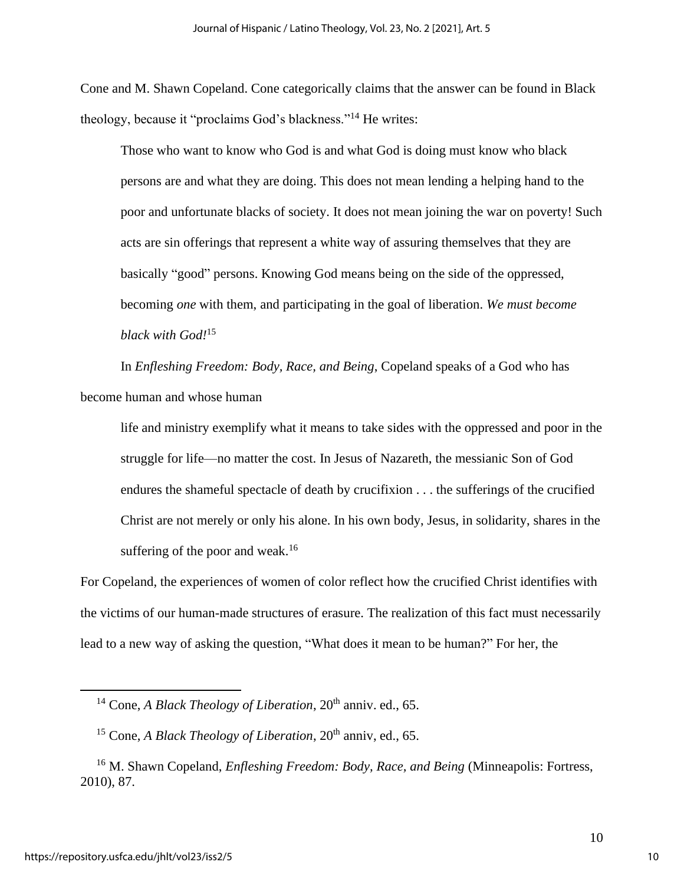Cone and M. Shawn Copeland. Cone categorically claims that the answer can be found in Black theology, because it "proclaims God's blackness."<sup>14</sup> He writes:

Those who want to know who God is and what God is doing must know who black persons are and what they are doing. This does not mean lending a helping hand to the poor and unfortunate blacks of society. It does not mean joining the war on poverty! Such acts are sin offerings that represent a white way of assuring themselves that they are basically "good" persons. Knowing God means being on the side of the oppressed, becoming *one* with them, and participating in the goal of liberation. *We must become black with God!*<sup>15</sup>

In *Enfleshing Freedom: Body, Race, and Being*, Copeland speaks of a God who has become human and whose human

life and ministry exemplify what it means to take sides with the oppressed and poor in the struggle for life—no matter the cost. In Jesus of Nazareth, the messianic Son of God endures the shameful spectacle of death by crucifixion . . . the sufferings of the crucified Christ are not merely or only his alone. In his own body, Jesus, in solidarity, shares in the suffering of the poor and weak.<sup>16</sup>

For Copeland, the experiences of women of color reflect how the crucified Christ identifies with the victims of our human-made structures of erasure. The realization of this fact must necessarily lead to a new way of asking the question, "What does it mean to be human?" For her, the

<sup>&</sup>lt;sup>14</sup> Cone, *A Black Theology of Liberation*, 20<sup>th</sup> anniv. ed., 65.

<sup>&</sup>lt;sup>15</sup> Cone, *A Black Theology of Liberation*, 20<sup>th</sup> anniv, ed., 65.

<sup>16</sup> M. Shawn Copeland, *Enfleshing Freedom: Body, Race, and Being* (Minneapolis: Fortress, 2010), 87.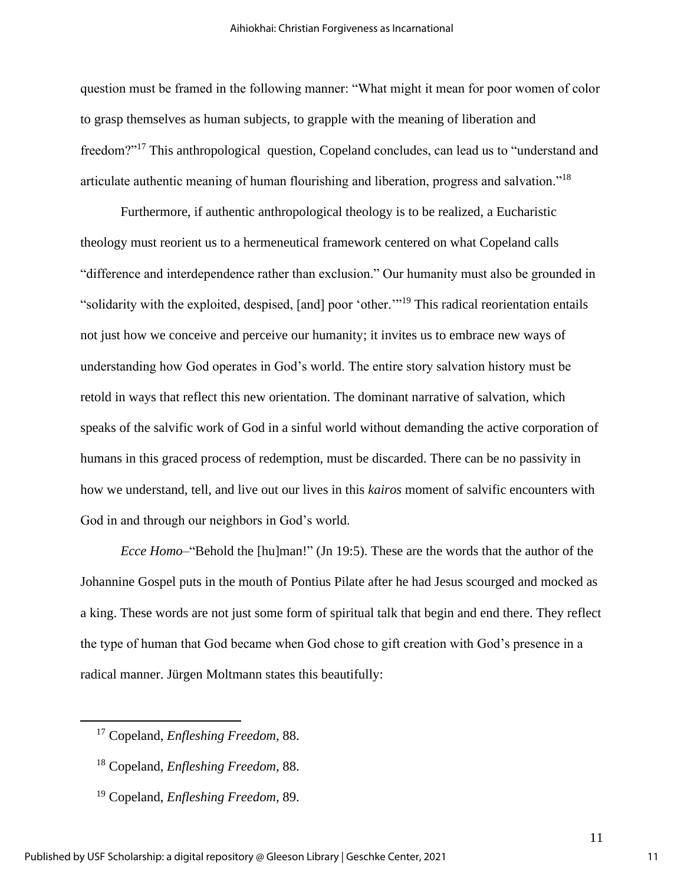question must be framed in the following manner: "What might it mean for poor women of color to grasp themselves as human subjects, to grapple with the meaning of liberation and freedom?"<sup>17</sup> This anthropological question, Copeland concludes, can lead us to "understand and articulate authentic meaning of human flourishing and liberation, progress and salvation."<sup>18</sup>

Furthermore, if authentic anthropological theology is to be realized, a Eucharistic theology must reorient us to a hermeneutical framework centered on what Copeland calls "difference and interdependence rather than exclusion." Our humanity must also be grounded in "solidarity with the exploited, despised, [and] poor 'other.'" <sup>19</sup> This radical reorientation entails not just how we conceive and perceive our humanity; it invites us to embrace new ways of understanding how God operates in God's world. The entire story salvation history must be retold in ways that reflect this new orientation. The dominant narrative of salvation, which speaks of the salvific work of God in a sinful world without demanding the active corporation of humans in this graced process of redemption, must be discarded. There can be no passivity in how we understand, tell, and live out our lives in this *kairos* moment of salvific encounters with God in and through our neighbors in God's world.

*Ecce Homo*–"Behold the [hu]man!" (Jn 19:5). These are the words that the author of the Johannine Gospel puts in the mouth of Pontius Pilate after he had Jesus scourged and mocked as a king. These words are not just some form of spiritual talk that begin and end there. They reflect the type of human that God became when God chose to gift creation with God's presence in a radical manner. Jürgen Moltmann states this beautifully:

<sup>17</sup> Copeland, *Enfleshing Freedom*, 88.

<sup>18</sup> Copeland, *Enfleshing Freedom*, 88.

<sup>19</sup> Copeland, *Enfleshing Freedom*, 89.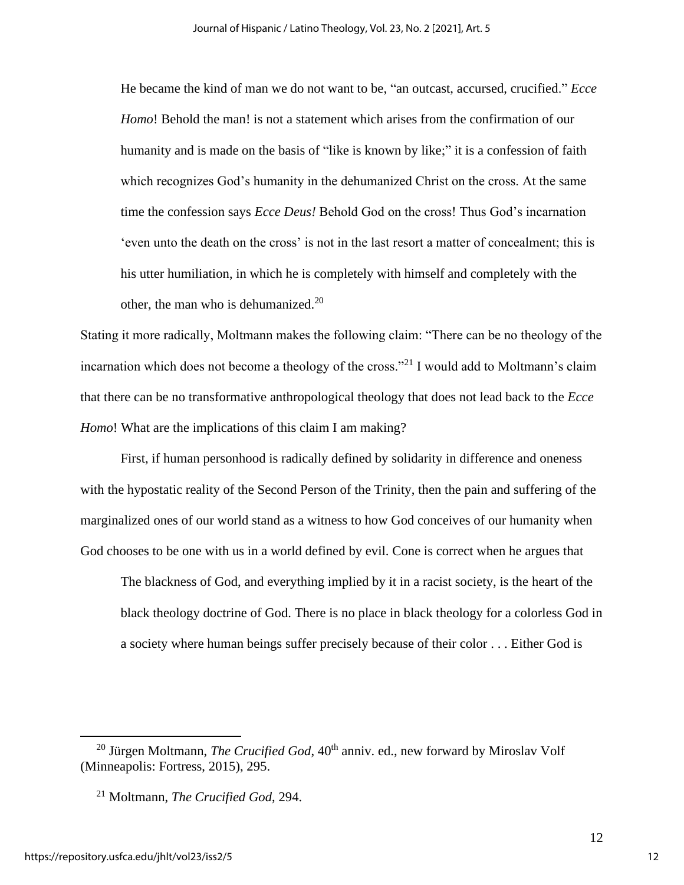He became the kind of man we do not want to be, "an outcast, accursed, crucified." *Ecce Homo*! Behold the man! is not a statement which arises from the confirmation of our humanity and is made on the basis of "like is known by like;" it is a confession of faith which recognizes God's humanity in the dehumanized Christ on the cross. At the same time the confession says *Ecce Deus!* Behold God on the cross! Thus God's incarnation 'even unto the death on the cross' is not in the last resort a matter of concealment; this is his utter humiliation, in which he is completely with himself and completely with the other, the man who is dehumanized. $20$ 

Stating it more radically, Moltmann makes the following claim: "There can be no theology of the incarnation which does not become a theology of the cross."<sup>21</sup> I would add to Moltmann's claim that there can be no transformative anthropological theology that does not lead back to the *Ecce Homo*! What are the implications of this claim I am making?

First, if human personhood is radically defined by solidarity in difference and oneness with the hypostatic reality of the Second Person of the Trinity, then the pain and suffering of the marginalized ones of our world stand as a witness to how God conceives of our humanity when God chooses to be one with us in a world defined by evil. Cone is correct when he argues that

The blackness of God, and everything implied by it in a racist society, is the heart of the black theology doctrine of God. There is no place in black theology for a colorless God in a society where human beings suffer precisely because of their color . . . Either God is

<sup>&</sup>lt;sup>20</sup> Jürgen Moltmann, *The Crucified God*, 40<sup>th</sup> anniv. ed., new forward by Miroslav Volf (Minneapolis: Fortress, 2015), 295.

<sup>21</sup> Moltmann, *The Crucified God*, 294.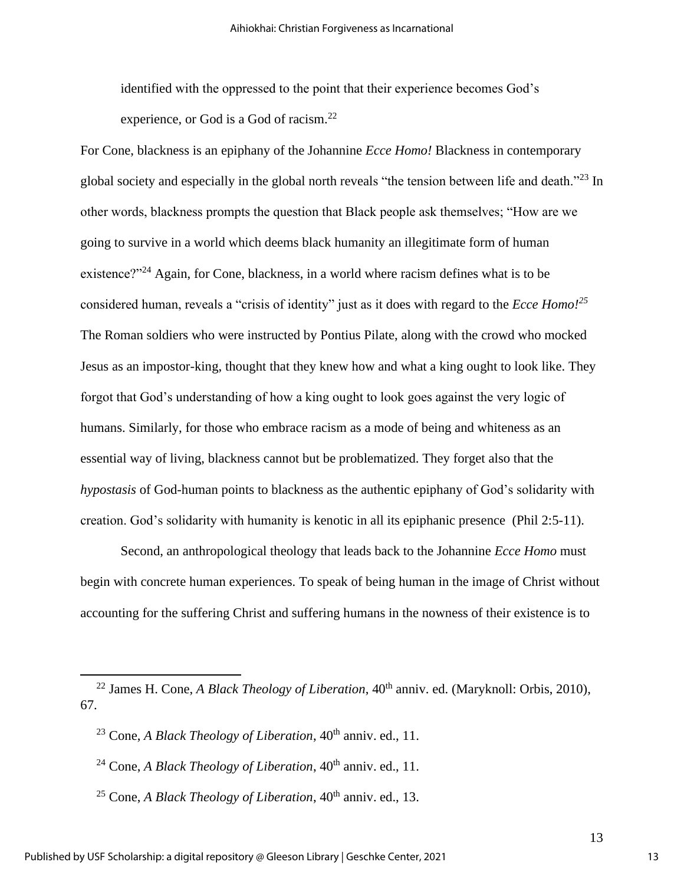identified with the oppressed to the point that their experience becomes God's experience, or God is a God of racism.<sup>22</sup>

For Cone, blackness is an epiphany of the Johannine *Ecce Homo!* Blackness in contemporary global society and especially in the global north reveals "the tension between life and death."<sup>23</sup> In other words, blackness prompts the question that Black people ask themselves; "How are we going to survive in a world which deems black humanity an illegitimate form of human existence?"<sup>24</sup> Again, for Cone, blackness, in a world where racism defines what is to be considered human, reveals a "crisis of identity" just as it does with regard to the *Ecce Homo!<sup>25</sup>* The Roman soldiers who were instructed by Pontius Pilate, along with the crowd who mocked Jesus as an impostor-king, thought that they knew how and what a king ought to look like. They forgot that God's understanding of how a king ought to look goes against the very logic of humans. Similarly, for those who embrace racism as a mode of being and whiteness as an essential way of living, blackness cannot but be problematized. They forget also that the *hypostasis* of God-human points to blackness as the authentic epiphany of God's solidarity with creation. God's solidarity with humanity is kenotic in all its epiphanic presence (Phil 2:5-11).

Second, an anthropological theology that leads back to the Johannine *Ecce Homo* must begin with concrete human experiences. To speak of being human in the image of Christ without accounting for the suffering Christ and suffering humans in the nowness of their existence is to

<sup>&</sup>lt;sup>22</sup> James H. Cone, *A Black Theology of Liberation*, 40<sup>th</sup> anniv. ed. (Maryknoll: Orbis, 2010), 67.

<sup>&</sup>lt;sup>23</sup> Cone, *A Black Theology of Liberation*, 40<sup>th</sup> anniv. ed., 11.

<sup>&</sup>lt;sup>24</sup> Cone, *A Black Theology of Liberation*, 40<sup>th</sup> anniv. ed., 11.

<sup>&</sup>lt;sup>25</sup> Cone, *A Black Theology of Liberation*, 40<sup>th</sup> anniv. ed., 13.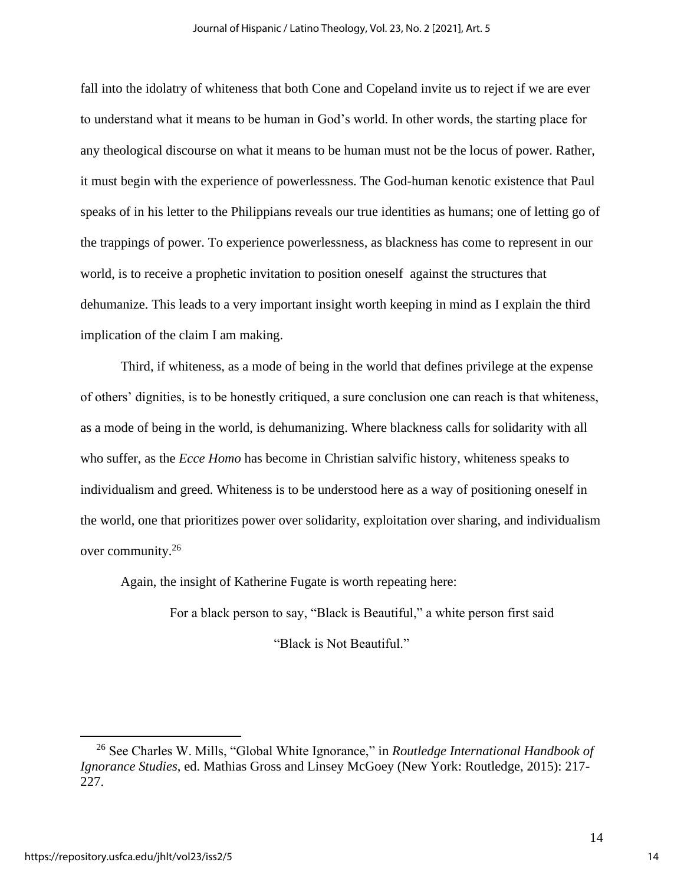fall into the idolatry of whiteness that both Cone and Copeland invite us to reject if we are ever to understand what it means to be human in God's world. In other words, the starting place for any theological discourse on what it means to be human must not be the locus of power. Rather, it must begin with the experience of powerlessness. The God-human kenotic existence that Paul speaks of in his letter to the Philippians reveals our true identities as humans; one of letting go of the trappings of power. To experience powerlessness, as blackness has come to represent in our world, is to receive a prophetic invitation to position oneself against the structures that dehumanize. This leads to a very important insight worth keeping in mind as I explain the third implication of the claim I am making.

Third, if whiteness, as a mode of being in the world that defines privilege at the expense of others' dignities, is to be honestly critiqued, a sure conclusion one can reach is that whiteness, as a mode of being in the world, is dehumanizing. Where blackness calls for solidarity with all who suffer, as the *Ecce Homo* has become in Christian salvific history, whiteness speaks to individualism and greed. Whiteness is to be understood here as a way of positioning oneself in the world, one that prioritizes power over solidarity, exploitation over sharing, and individualism over community.<sup>26</sup>

Again, the insight of Katherine Fugate is worth repeating here:

For a black person to say, "Black is Beautiful," a white person first said

"Black is Not Beautiful."

<sup>26</sup> See Charles W. Mills, "Global White Ignorance," in *Routledge International Handbook of Ignorance Studies*, ed. Mathias Gross and Linsey McGoey (New York: Routledge, 2015): 217- 227.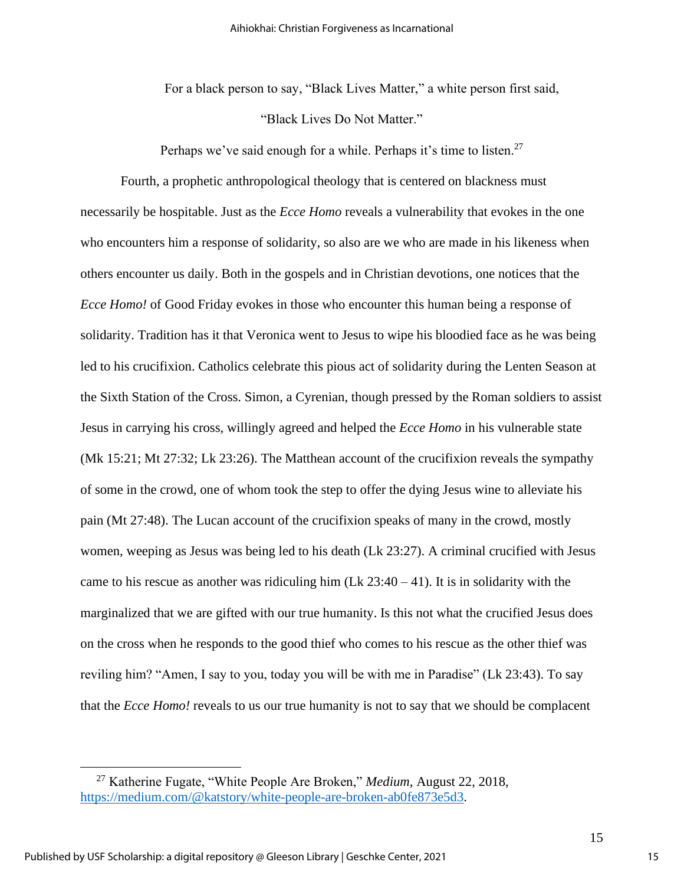For a black person to say, "Black Lives Matter," a white person first said,

"Black Lives Do Not Matter."

Perhaps we've said enough for a while. Perhaps it's time to listen.<sup>27</sup>

Fourth, a prophetic anthropological theology that is centered on blackness must necessarily be hospitable. Just as the *Ecce Homo* reveals a vulnerability that evokes in the one who encounters him a response of solidarity, so also are we who are made in his likeness when others encounter us daily. Both in the gospels and in Christian devotions, one notices that the *Ecce Homo!* of Good Friday evokes in those who encounter this human being a response of solidarity. Tradition has it that Veronica went to Jesus to wipe his bloodied face as he was being led to his crucifixion. Catholics celebrate this pious act of solidarity during the Lenten Season at the Sixth Station of the Cross. Simon, a Cyrenian, though pressed by the Roman soldiers to assist Jesus in carrying his cross, willingly agreed and helped the *Ecce Homo* in his vulnerable state (Mk 15:21; Mt 27:32; Lk 23:26). The Matthean account of the crucifixion reveals the sympathy of some in the crowd, one of whom took the step to offer the dying Jesus wine to alleviate his pain (Mt 27:48). The Lucan account of the crucifixion speaks of many in the crowd, mostly women, weeping as Jesus was being led to his death (Lk 23:27). A criminal crucified with Jesus came to his rescue as another was ridiculing him  $(Lk 23:40 - 41)$ . It is in solidarity with the marginalized that we are gifted with our true humanity. Is this not what the crucified Jesus does on the cross when he responds to the good thief who comes to his rescue as the other thief was reviling him? "Amen, I say to you, today you will be with me in Paradise" (Lk 23:43). To say that the *Ecce Homo!* reveals to us our true humanity is not to say that we should be complacent

<sup>27</sup> Katherine Fugate, "White People Are Broken," *Medium*, August 22, 2018, [https://medium.com/@katstory/white-people-are-broken-ab0fe873e5d3.](https://medium.com/@katstory/white-people-are-broken-ab0fe873e5d3)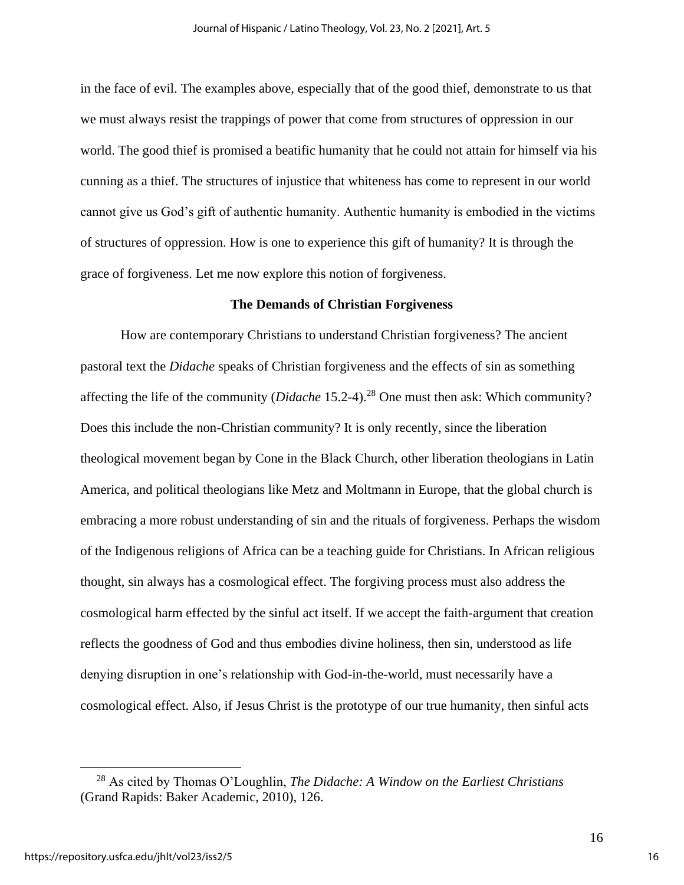in the face of evil. The examples above, especially that of the good thief, demonstrate to us that we must always resist the trappings of power that come from structures of oppression in our world. The good thief is promised a beatific humanity that he could not attain for himself via his cunning as a thief. The structures of injustice that whiteness has come to represent in our world cannot give us God's gift of authentic humanity. Authentic humanity is embodied in the victims of structures of oppression. How is one to experience this gift of humanity? It is through the grace of forgiveness. Let me now explore this notion of forgiveness.

#### **The Demands of Christian Forgiveness**

How are contemporary Christians to understand Christian forgiveness? The ancient pastoral text the *Didache* speaks of Christian forgiveness and the effects of sin as something affecting the life of the community (*Didache* 15.2-4).<sup>28</sup> One must then ask: Which community? Does this include the non-Christian community? It is only recently, since the liberation theological movement began by Cone in the Black Church, other liberation theologians in Latin America, and political theologians like Metz and Moltmann in Europe, that the global church is embracing a more robust understanding of sin and the rituals of forgiveness. Perhaps the wisdom of the Indigenous religions of Africa can be a teaching guide for Christians. In African religious thought, sin always has a cosmological effect. The forgiving process must also address the cosmological harm effected by the sinful act itself. If we accept the faith-argument that creation reflects the goodness of God and thus embodies divine holiness, then sin, understood as life denying disruption in one's relationship with God-in-the-world, must necessarily have a cosmological effect. Also, if Jesus Christ is the prototype of our true humanity, then sinful acts

<sup>28</sup> As cited by Thomas O'Loughlin, *The Didache: A Window on the Earliest Christians* (Grand Rapids: Baker Academic, 2010), 126.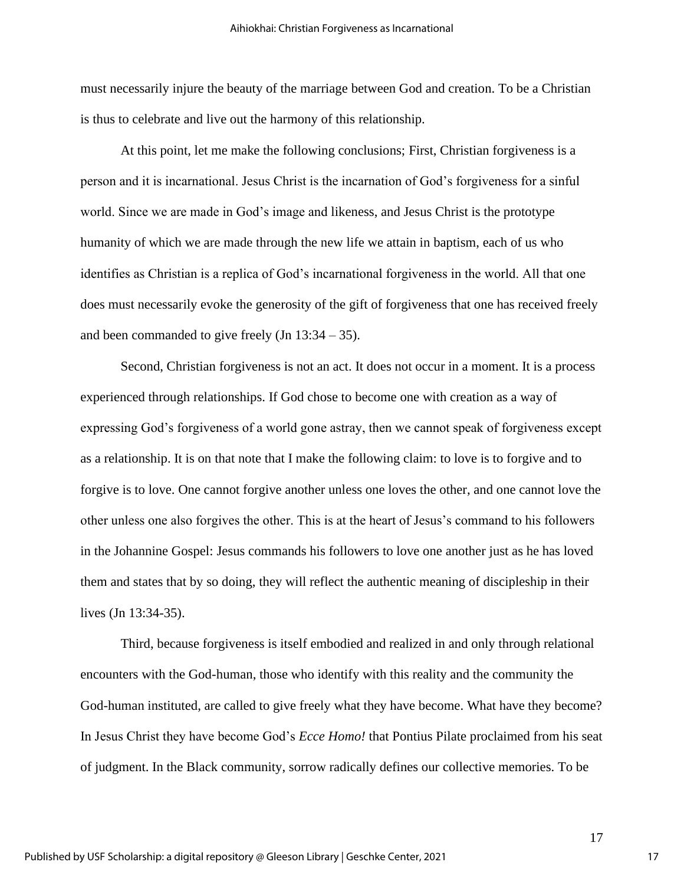must necessarily injure the beauty of the marriage between God and creation. To be a Christian is thus to celebrate and live out the harmony of this relationship.

At this point, let me make the following conclusions; First, Christian forgiveness is a person and it is incarnational. Jesus Christ is the incarnation of God's forgiveness for a sinful world. Since we are made in God's image and likeness, and Jesus Christ is the prototype humanity of which we are made through the new life we attain in baptism, each of us who identifies as Christian is a replica of God's incarnational forgiveness in the world. All that one does must necessarily evoke the generosity of the gift of forgiveness that one has received freely and been commanded to give freely (Jn 13:34 – 35).

Second, Christian forgiveness is not an act. It does not occur in a moment. It is a process experienced through relationships. If God chose to become one with creation as a way of expressing God's forgiveness of a world gone astray, then we cannot speak of forgiveness except as a relationship. It is on that note that I make the following claim: to love is to forgive and to forgive is to love. One cannot forgive another unless one loves the other, and one cannot love the other unless one also forgives the other. This is at the heart of Jesus's command to his followers in the Johannine Gospel: Jesus commands his followers to love one another just as he has loved them and states that by so doing, they will reflect the authentic meaning of discipleship in their lives (Jn 13:34-35).

Third, because forgiveness is itself embodied and realized in and only through relational encounters with the God-human, those who identify with this reality and the community the God-human instituted, are called to give freely what they have become. What have they become? In Jesus Christ they have become God's *Ecce Homo!* that Pontius Pilate proclaimed from his seat of judgment. In the Black community, sorrow radically defines our collective memories. To be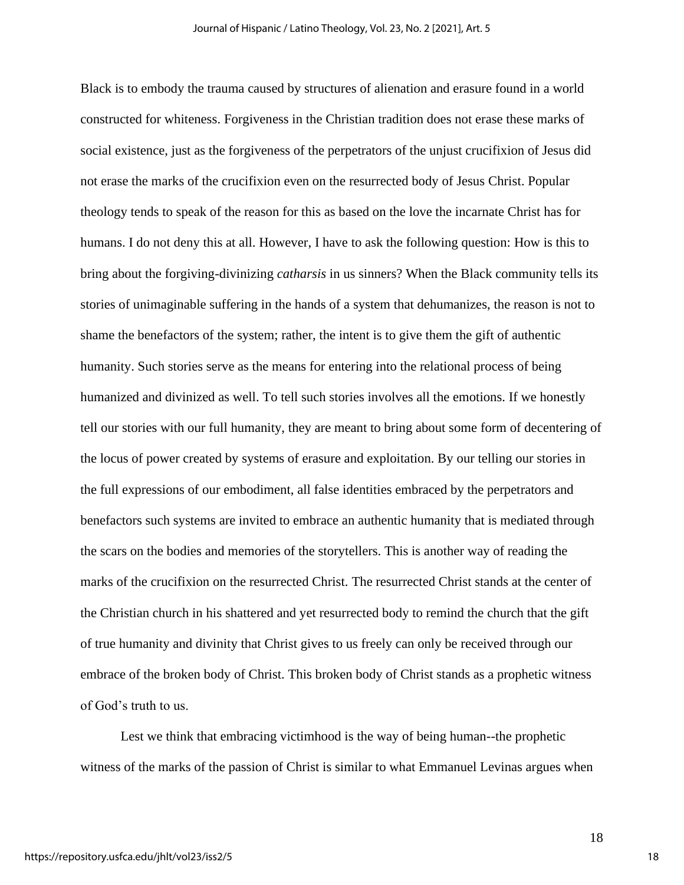Black is to embody the trauma caused by structures of alienation and erasure found in a world constructed for whiteness. Forgiveness in the Christian tradition does not erase these marks of social existence, just as the forgiveness of the perpetrators of the unjust crucifixion of Jesus did not erase the marks of the crucifixion even on the resurrected body of Jesus Christ. Popular theology tends to speak of the reason for this as based on the love the incarnate Christ has for humans. I do not deny this at all. However, I have to ask the following question: How is this to bring about the forgiving-divinizing *catharsis* in us sinners? When the Black community tells its stories of unimaginable suffering in the hands of a system that dehumanizes, the reason is not to shame the benefactors of the system; rather, the intent is to give them the gift of authentic humanity. Such stories serve as the means for entering into the relational process of being humanized and divinized as well. To tell such stories involves all the emotions. If we honestly tell our stories with our full humanity, they are meant to bring about some form of decentering of the locus of power created by systems of erasure and exploitation. By our telling our stories in the full expressions of our embodiment, all false identities embraced by the perpetrators and benefactors such systems are invited to embrace an authentic humanity that is mediated through the scars on the bodies and memories of the storytellers. This is another way of reading the marks of the crucifixion on the resurrected Christ. The resurrected Christ stands at the center of the Christian church in his shattered and yet resurrected body to remind the church that the gift of true humanity and divinity that Christ gives to us freely can only be received through our embrace of the broken body of Christ. This broken body of Christ stands as a prophetic witness of God's truth to us.

Lest we think that embracing victimhood is the way of being human--the prophetic witness of the marks of the passion of Christ is similar to what Emmanuel Levinas argues when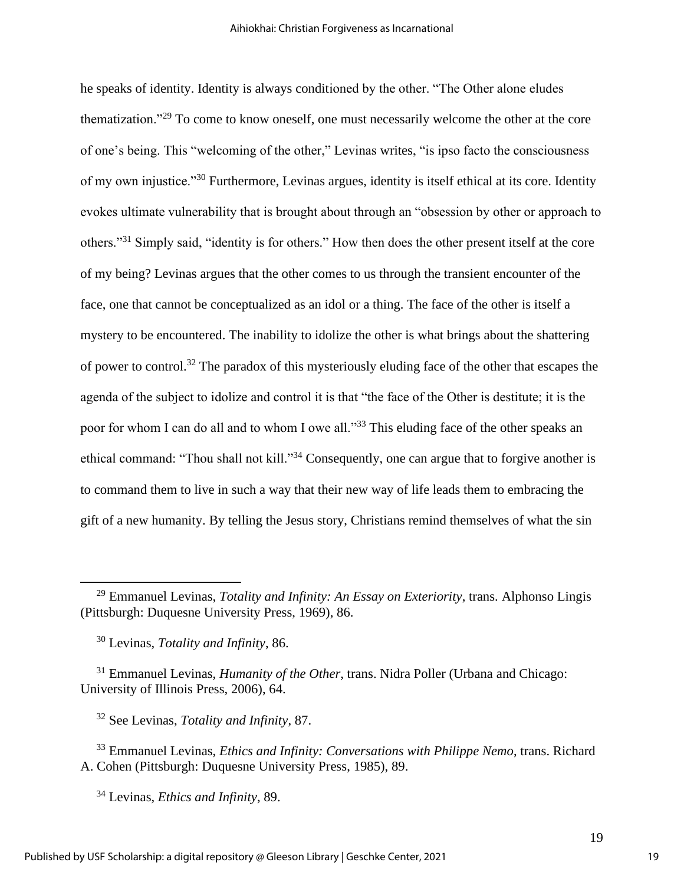he speaks of identity. Identity is always conditioned by the other. "The Other alone eludes thematization."<sup>29</sup> To come to know oneself, one must necessarily welcome the other at the core of one's being. This "welcoming of the other," Levinas writes, "is ipso facto the consciousness of my own injustice."<sup>30</sup> Furthermore, Levinas argues, identity is itself ethical at its core. Identity evokes ultimate vulnerability that is brought about through an "obsession by other or approach to others."<sup>31</sup> Simply said, "identity is for others." How then does the other present itself at the core of my being? Levinas argues that the other comes to us through the transient encounter of the face, one that cannot be conceptualized as an idol or a thing. The face of the other is itself a mystery to be encountered. The inability to idolize the other is what brings about the shattering of power to control.<sup>32</sup> The paradox of this mysteriously eluding face of the other that escapes the agenda of the subject to idolize and control it is that "the face of the Other is destitute; it is the poor for whom I can do all and to whom I owe all."<sup>33</sup> This eluding face of the other speaks an ethical command: "Thou shall not kill."<sup>34</sup> Consequently, one can argue that to forgive another is to command them to live in such a way that their new way of life leads them to embracing the gift of a new humanity. By telling the Jesus story, Christians remind themselves of what the sin

<sup>31</sup> Emmanuel Levinas, *Humanity of the Other*, trans. Nidra Poller (Urbana and Chicago: University of Illinois Press, 2006), 64.

<sup>32</sup> See Levinas, *Totality and Infinity*, 87.

<sup>33</sup> Emmanuel Levinas, *Ethics and Infinity: Conversations with Philippe Nemo*, trans. Richard A. Cohen (Pittsburgh: Duquesne University Press, 1985), 89.

<sup>34</sup> Levinas, *Ethics and Infinity*, 89.

<sup>29</sup> Emmanuel Levinas, *Totality and Infinity: An Essay on Exteriority*, trans. Alphonso Lingis (Pittsburgh: Duquesne University Press, 1969), 86.

<sup>30</sup> Levinas, *Totality and Infinity*, 86.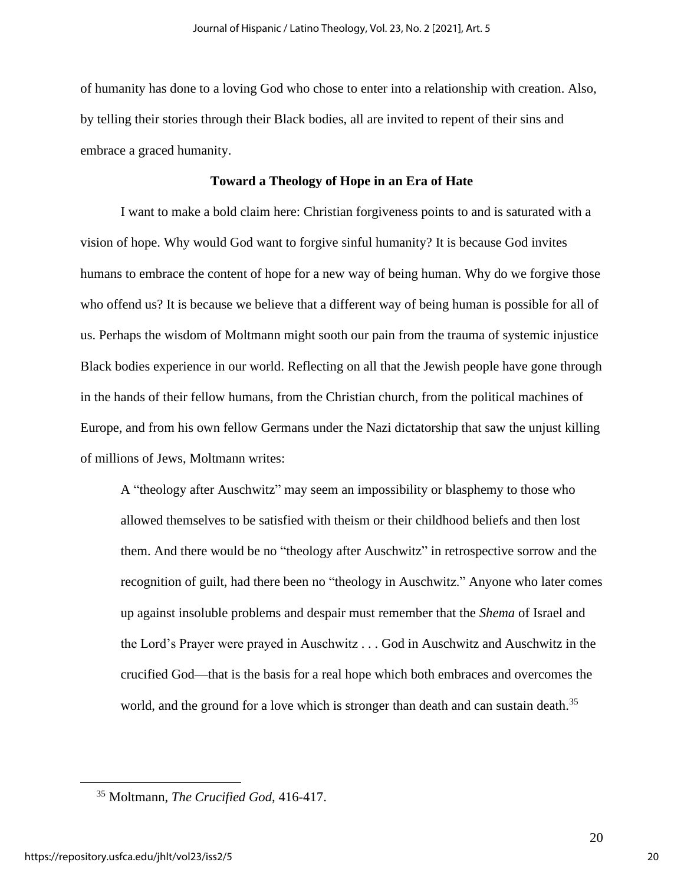of humanity has done to a loving God who chose to enter into a relationship with creation. Also, by telling their stories through their Black bodies, all are invited to repent of their sins and embrace a graced humanity.

#### **Toward a Theology of Hope in an Era of Hate**

I want to make a bold claim here: Christian forgiveness points to and is saturated with a vision of hope. Why would God want to forgive sinful humanity? It is because God invites humans to embrace the content of hope for a new way of being human. Why do we forgive those who offend us? It is because we believe that a different way of being human is possible for all of us. Perhaps the wisdom of Moltmann might sooth our pain from the trauma of systemic injustice Black bodies experience in our world. Reflecting on all that the Jewish people have gone through in the hands of their fellow humans, from the Christian church, from the political machines of Europe, and from his own fellow Germans under the Nazi dictatorship that saw the unjust killing of millions of Jews, Moltmann writes:

A "theology after Auschwitz" may seem an impossibility or blasphemy to those who allowed themselves to be satisfied with theism or their childhood beliefs and then lost them. And there would be no "theology after Auschwitz" in retrospective sorrow and the recognition of guilt, had there been no "theology in Auschwitz." Anyone who later comes up against insoluble problems and despair must remember that the *Shema* of Israel and the Lord's Prayer were prayed in Auschwitz . . . God in Auschwitz and Auschwitz in the crucified God—that is the basis for a real hope which both embraces and overcomes the world, and the ground for a love which is stronger than death and can sustain death.<sup>35</sup>

<sup>35</sup> Moltmann, *The Crucified God*, 416-417.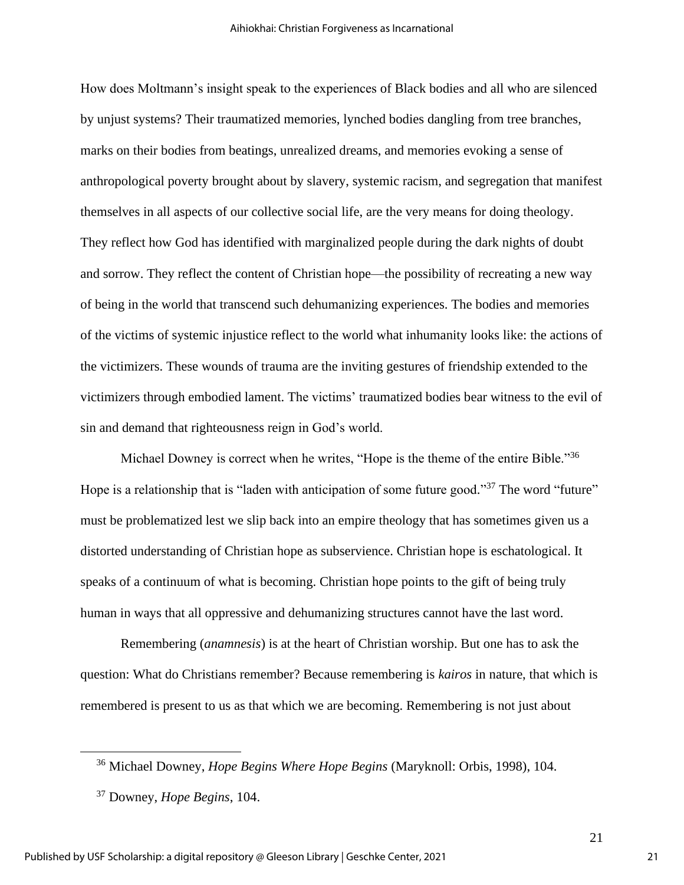How does Moltmann's insight speak to the experiences of Black bodies and all who are silenced by unjust systems? Their traumatized memories, lynched bodies dangling from tree branches, marks on their bodies from beatings, unrealized dreams, and memories evoking a sense of anthropological poverty brought about by slavery, systemic racism, and segregation that manifest themselves in all aspects of our collective social life, are the very means for doing theology. They reflect how God has identified with marginalized people during the dark nights of doubt and sorrow. They reflect the content of Christian hope—the possibility of recreating a new way of being in the world that transcend such dehumanizing experiences. The bodies and memories of the victims of systemic injustice reflect to the world what inhumanity looks like: the actions of the victimizers. These wounds of trauma are the inviting gestures of friendship extended to the victimizers through embodied lament. The victims' traumatized bodies bear witness to the evil of sin and demand that righteousness reign in God's world.

Michael Downey is correct when he writes, "Hope is the theme of the entire Bible."<sup>36</sup> Hope is a relationship that is "laden with anticipation of some future good."<sup>37</sup> The word "future" must be problematized lest we slip back into an empire theology that has sometimes given us a distorted understanding of Christian hope as subservience. Christian hope is eschatological. It speaks of a continuum of what is becoming. Christian hope points to the gift of being truly human in ways that all oppressive and dehumanizing structures cannot have the last word.

Remembering (*anamnesis*) is at the heart of Christian worship. But one has to ask the question: What do Christians remember? Because remembering is *kairos* in nature, that which is remembered is present to us as that which we are becoming. Remembering is not just about

<sup>36</sup> Michael Downey, *Hope Begins Where Hope Begins* (Maryknoll: Orbis, 1998), 104.

<sup>37</sup> Downey, *Hope Begins*, 104.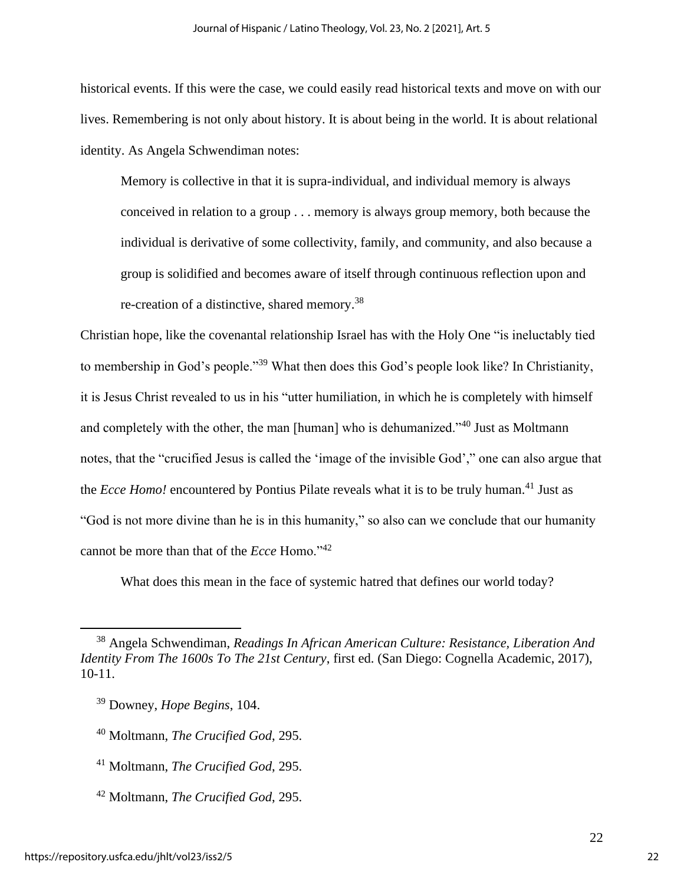historical events. If this were the case, we could easily read historical texts and move on with our lives. Remembering is not only about history. It is about being in the world. It is about relational identity. As Angela Schwendiman notes:

Memory is collective in that it is supra-individual, and individual memory is always conceived in relation to a group . . . memory is always group memory, both because the individual is derivative of some collectivity, family, and community, and also because a group is solidified and becomes aware of itself through continuous reflection upon and re-creation of a distinctive, shared memory.<sup>38</sup>

Christian hope, like the covenantal relationship Israel has with the Holy One "is ineluctably tied to membership in God's people."<sup>39</sup> What then does this God's people look like? In Christianity, it is Jesus Christ revealed to us in his "utter humiliation, in which he is completely with himself and completely with the other, the man [human] who is dehumanized."<sup>40</sup> Just as Moltmann notes, that the "crucified Jesus is called the 'image of the invisible God'," one can also argue that the *Ecce Homo!* encountered by Pontius Pilate reveals what it is to be truly human.<sup>41</sup> Just as "God is not more divine than he is in this humanity," so also can we conclude that our humanity cannot be more than that of the *Ecce* Homo."<sup>42</sup>

What does this mean in the face of systemic hatred that defines our world today?

<sup>38</sup> Angela Schwendiman, *Readings In African American Culture: Resistance, Liberation And Identity From The 1600s To The 21st Century*, first ed. (San Diego: Cognella Academic, 2017), 10-11.

<sup>39</sup> Downey, *Hope Begins*, 104.

<sup>40</sup> Moltmann, *The Crucified God*, 295.

<sup>41</sup> Moltmann, *The Crucified God*, 295.

<sup>42</sup> Moltmann, *The Crucified God*, 295.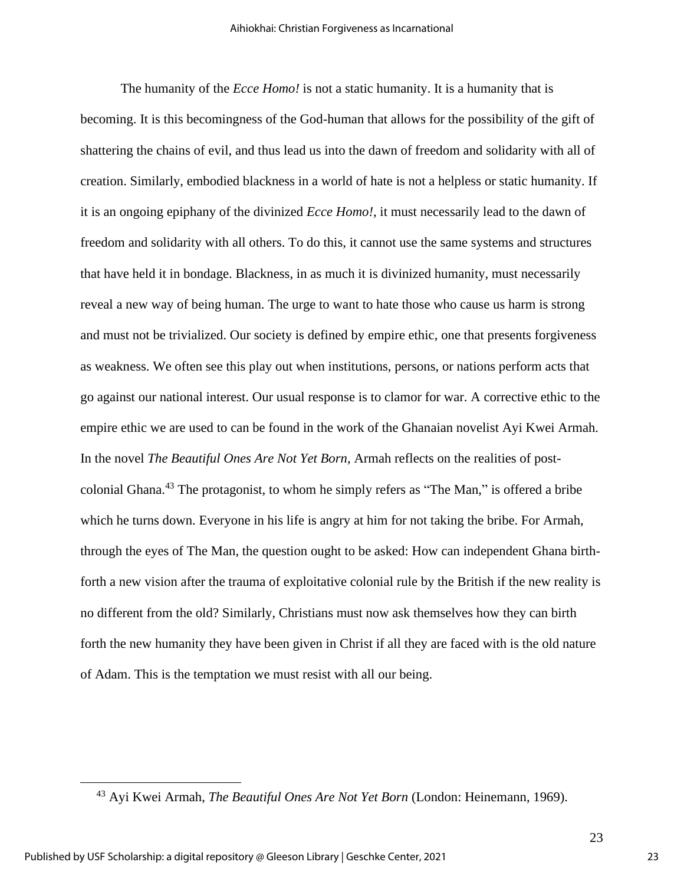The humanity of the *Ecce Homo!* is not a static humanity. It is a humanity that is becoming. It is this becomingness of the God-human that allows for the possibility of the gift of shattering the chains of evil, and thus lead us into the dawn of freedom and solidarity with all of creation. Similarly, embodied blackness in a world of hate is not a helpless or static humanity. If it is an ongoing epiphany of the divinized *Ecce Homo!*, it must necessarily lead to the dawn of freedom and solidarity with all others. To do this, it cannot use the same systems and structures that have held it in bondage. Blackness, in as much it is divinized humanity, must necessarily reveal a new way of being human. The urge to want to hate those who cause us harm is strong and must not be trivialized. Our society is defined by empire ethic, one that presents forgiveness as weakness. We often see this play out when institutions, persons, or nations perform acts that go against our national interest. Our usual response is to clamor for war. A corrective ethic to the empire ethic we are used to can be found in the work of the Ghanaian novelist Ayi Kwei Armah. In the novel *The Beautiful Ones Are Not Yet Born*, Armah reflects on the realities of postcolonial Ghana.<sup>43</sup> The protagonist, to whom he simply refers as "The Man," is offered a bribe which he turns down. Everyone in his life is angry at him for not taking the bribe. For Armah, through the eyes of The Man, the question ought to be asked: How can independent Ghana birthforth a new vision after the trauma of exploitative colonial rule by the British if the new reality is no different from the old? Similarly, Christians must now ask themselves how they can birth forth the new humanity they have been given in Christ if all they are faced with is the old nature of Adam. This is the temptation we must resist with all our being.

<sup>43</sup> Ayi Kwei Armah, *The Beautiful Ones Are Not Yet Born* (London: Heinemann, 1969).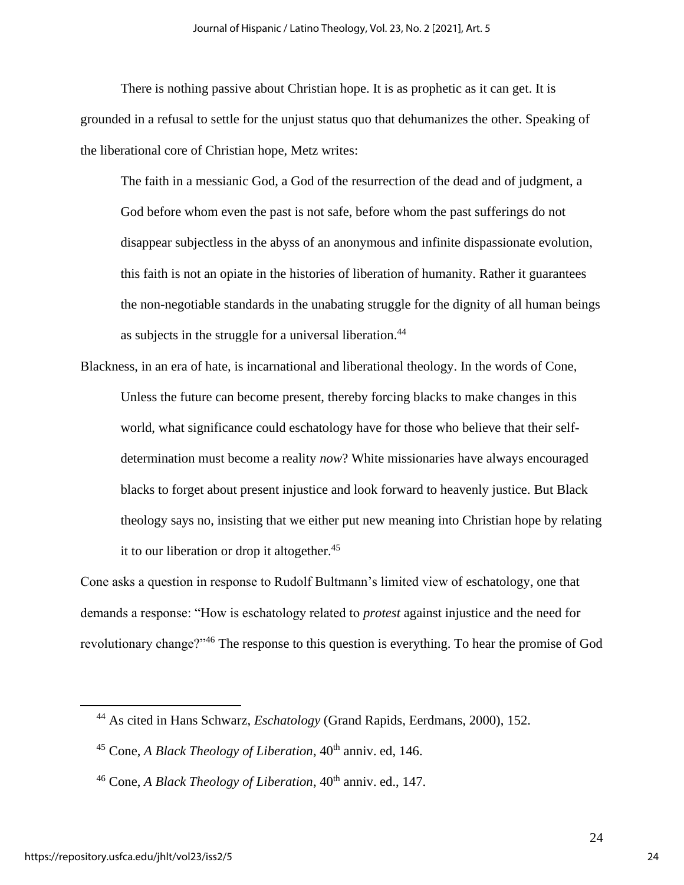There is nothing passive about Christian hope. It is as prophetic as it can get. It is grounded in a refusal to settle for the unjust status quo that dehumanizes the other. Speaking of the liberational core of Christian hope, Metz writes:

The faith in a messianic God, a God of the resurrection of the dead and of judgment, a God before whom even the past is not safe, before whom the past sufferings do not disappear subjectless in the abyss of an anonymous and infinite dispassionate evolution, this faith is not an opiate in the histories of liberation of humanity. Rather it guarantees the non-negotiable standards in the unabating struggle for the dignity of all human beings as subjects in the struggle for a universal liberation.<sup>44</sup>

Blackness, in an era of hate, is incarnational and liberational theology. In the words of Cone, Unless the future can become present, thereby forcing blacks to make changes in this world, what significance could eschatology have for those who believe that their selfdetermination must become a reality *now*? White missionaries have always encouraged blacks to forget about present injustice and look forward to heavenly justice. But Black theology says no, insisting that we either put new meaning into Christian hope by relating it to our liberation or drop it altogether. 45

Cone asks a question in response to Rudolf Bultmann's limited view of eschatology, one that demands a response: "How is eschatology related to *protest* against injustice and the need for revolutionary change?"<sup>46</sup> The response to this question is everything. To hear the promise of God

<sup>44</sup> As cited in Hans Schwarz, *Eschatology* (Grand Rapids, Eerdmans, 2000), 152.

<sup>&</sup>lt;sup>45</sup> Cone, *A Black Theology of Liberation*, 40<sup>th</sup> anniv. ed, 146.

<sup>&</sup>lt;sup>46</sup> Cone, *A Black Theology of Liberation*,  $40<sup>th</sup>$  anniv. ed., 147.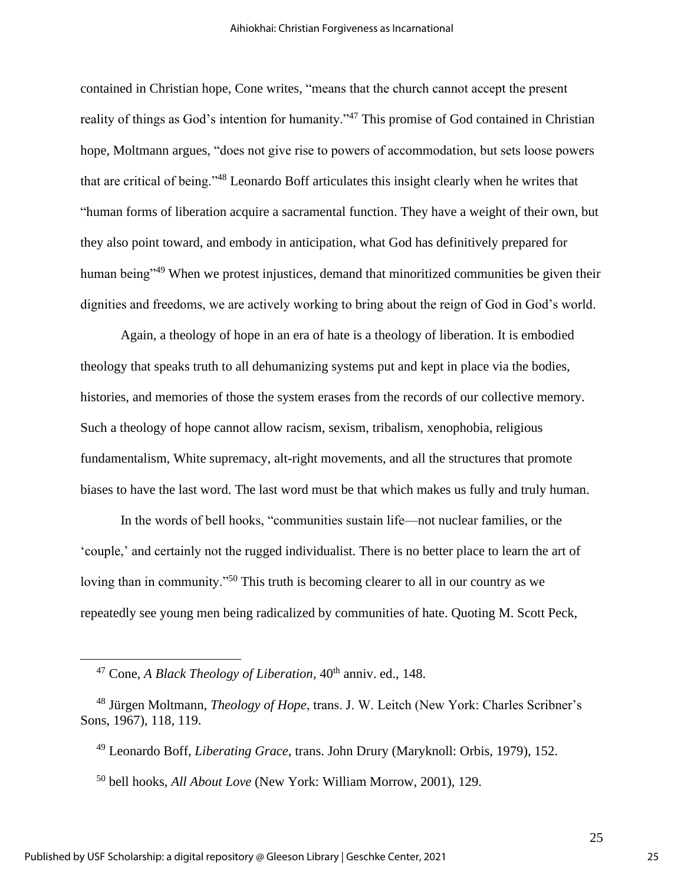contained in Christian hope, Cone writes, "means that the church cannot accept the present reality of things as God's intention for humanity."<sup>47</sup> This promise of God contained in Christian hope, Moltmann argues, "does not give rise to powers of accommodation, but sets loose powers that are critical of being."<sup>48</sup> Leonardo Boff articulates this insight clearly when he writes that "human forms of liberation acquire a sacramental function. They have a weight of their own, but they also point toward, and embody in anticipation, what God has definitively prepared for human being<sup>"49</sup> When we protest injustices, demand that minoritized communities be given their dignities and freedoms, we are actively working to bring about the reign of God in God's world.

Again, a theology of hope in an era of hate is a theology of liberation. It is embodied theology that speaks truth to all dehumanizing systems put and kept in place via the bodies, histories, and memories of those the system erases from the records of our collective memory. Such a theology of hope cannot allow racism, sexism, tribalism, xenophobia, religious fundamentalism, White supremacy, alt-right movements, and all the structures that promote biases to have the last word. The last word must be that which makes us fully and truly human.

In the words of bell hooks, "communities sustain life—not nuclear families, or the 'couple,' and certainly not the rugged individualist. There is no better place to learn the art of loving than in community.<sup>"50</sup> This truth is becoming clearer to all in our country as we repeatedly see young men being radicalized by communities of hate. Quoting M. Scott Peck,

<sup>&</sup>lt;sup>47</sup> Cone, *A Black Theology of Liberation*,  $40<sup>th</sup>$  anniv. ed., 148.

<sup>48</sup> Jürgen Moltmann, *Theology of Hope*, trans. J. W. Leitch (New York: Charles Scribner's Sons, 1967), 118, 119.

<sup>49</sup> Leonardo Boff, *Liberating Grace*, trans. John Drury (Maryknoll: Orbis, 1979), 152.

<sup>50</sup> bell hooks, *All About Love* (New York: William Morrow, 2001), 129.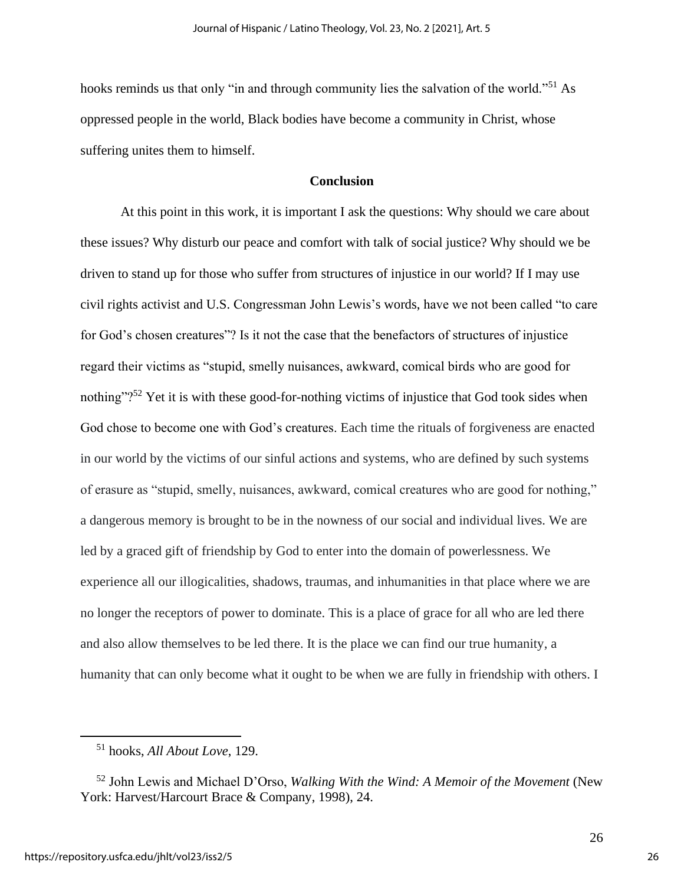hooks reminds us that only "in and through community lies the salvation of the world."<sup>51</sup> As oppressed people in the world, Black bodies have become a community in Christ, whose suffering unites them to himself.

#### **Conclusion**

At this point in this work, it is important I ask the questions: Why should we care about these issues? Why disturb our peace and comfort with talk of social justice? Why should we be driven to stand up for those who suffer from structures of injustice in our world? If I may use civil rights activist and U.S. Congressman John Lewis's words, have we not been called "to care for God's chosen creatures"? Is it not the case that the benefactors of structures of injustice regard their victims as "stupid, smelly nuisances, awkward, comical birds who are good for nothing"?<sup>52</sup> Yet it is with these good-for-nothing victims of injustice that God took sides when God chose to become one with God's creatures. Each time the rituals of forgiveness are enacted in our world by the victims of our sinful actions and systems, who are defined by such systems of erasure as "stupid, smelly, nuisances, awkward, comical creatures who are good for nothing," a dangerous memory is brought to be in the nowness of our social and individual lives. We are led by a graced gift of friendship by God to enter into the domain of powerlessness. We experience all our illogicalities, shadows, traumas, and inhumanities in that place where we are no longer the receptors of power to dominate. This is a place of grace for all who are led there and also allow themselves to be led there. It is the place we can find our true humanity, a humanity that can only become what it ought to be when we are fully in friendship with others. I

<sup>51</sup> hooks, *All About Love*, 129.

<sup>52</sup> John Lewis and Michael D'Orso, *Walking With the Wind: A Memoir of the Movement* (New York: Harvest/Harcourt Brace & Company, 1998), 24.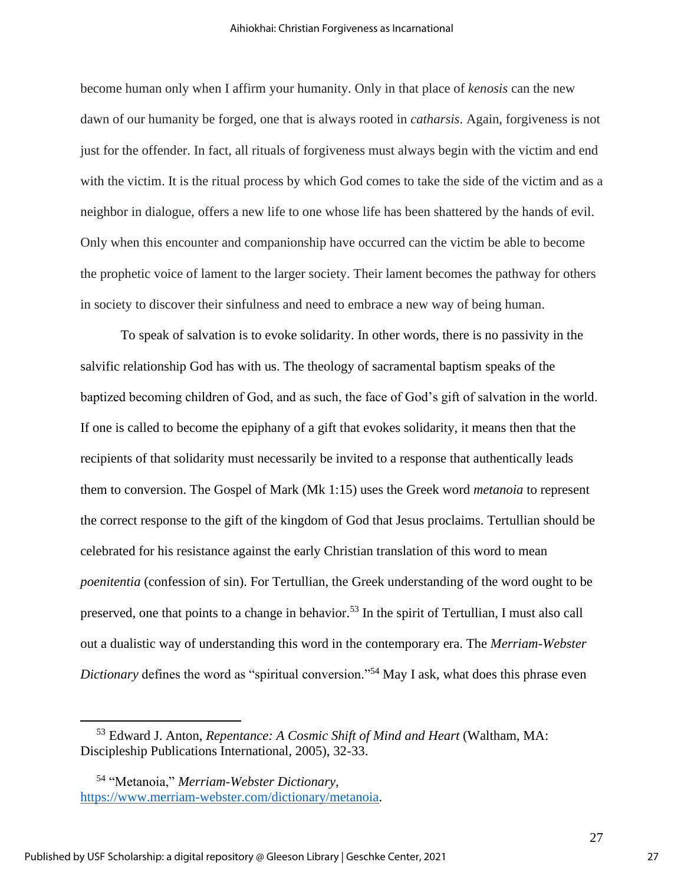become human only when I affirm your humanity. Only in that place of *kenosis* can the new dawn of our humanity be forged, one that is always rooted in *catharsis*. Again, forgiveness is not just for the offender. In fact, all rituals of forgiveness must always begin with the victim and end with the victim. It is the ritual process by which God comes to take the side of the victim and as a neighbor in dialogue, offers a new life to one whose life has been shattered by the hands of evil. Only when this encounter and companionship have occurred can the victim be able to become the prophetic voice of lament to the larger society. Their lament becomes the pathway for others in society to discover their sinfulness and need to embrace a new way of being human.

To speak of salvation is to evoke solidarity. In other words, there is no passivity in the salvific relationship God has with us. The theology of sacramental baptism speaks of the baptized becoming children of God, and as such, the face of God's gift of salvation in the world. If one is called to become the epiphany of a gift that evokes solidarity, it means then that the recipients of that solidarity must necessarily be invited to a response that authentically leads them to conversion. The Gospel of Mark (Mk 1:15) uses the Greek word *metanoia* to represent the correct response to the gift of the kingdom of God that Jesus proclaims. Tertullian should be celebrated for his resistance against the early Christian translation of this word to mean *poenitentia* (confession of sin). For Tertullian, the Greek understanding of the word ought to be preserved, one that points to a change in behavior.<sup>53</sup> In the spirit of Tertullian, I must also call out a dualistic way of understanding this word in the contemporary era. The *Merriam-Webster Dictionary* defines the word as "spiritual conversion."<sup>54</sup> May I ask, what does this phrase even

<sup>53</sup> Edward J. Anton, *Repentance: A Cosmic Shift of Mind and Heart* (Waltham, MA: Discipleship Publications International, 2005), 32-33.

<sup>54</sup> "Metanoia," *Merriam-Webster Dictionary,* [https://www.merriam-webster.com/dictionary/metanoia.](https://www.merriam-webster.com/dictionary/metanoia)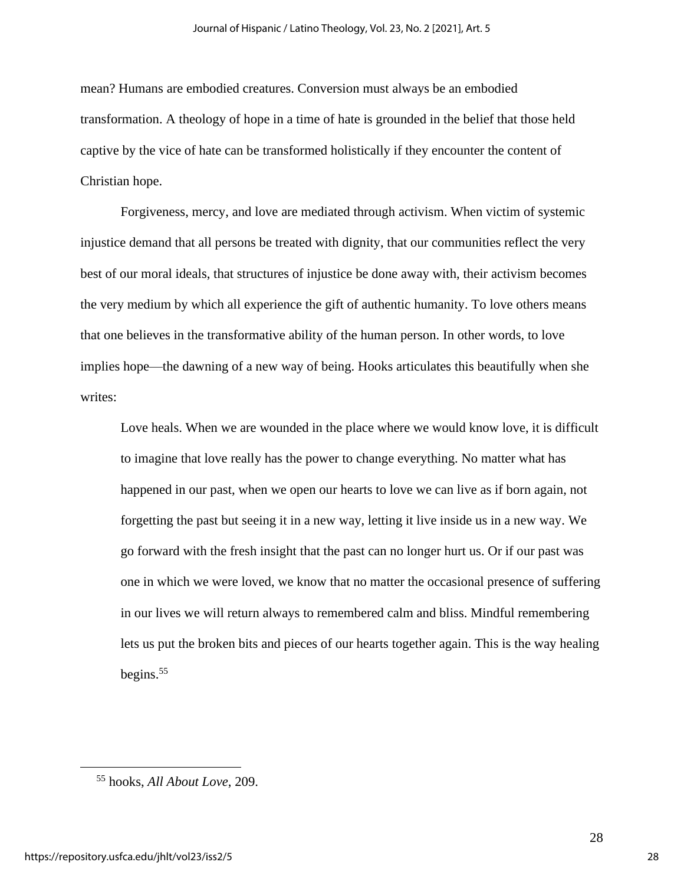mean? Humans are embodied creatures. Conversion must always be an embodied transformation. A theology of hope in a time of hate is grounded in the belief that those held captive by the vice of hate can be transformed holistically if they encounter the content of Christian hope.

Forgiveness, mercy, and love are mediated through activism. When victim of systemic injustice demand that all persons be treated with dignity, that our communities reflect the very best of our moral ideals, that structures of injustice be done away with, their activism becomes the very medium by which all experience the gift of authentic humanity. To love others means that one believes in the transformative ability of the human person. In other words, to love implies hope—the dawning of a new way of being. Hooks articulates this beautifully when she writes:

Love heals. When we are wounded in the place where we would know love, it is difficult to imagine that love really has the power to change everything. No matter what has happened in our past, when we open our hearts to love we can live as if born again, not forgetting the past but seeing it in a new way, letting it live inside us in a new way. We go forward with the fresh insight that the past can no longer hurt us. Or if our past was one in which we were loved, we know that no matter the occasional presence of suffering in our lives we will return always to remembered calm and bliss. Mindful remembering lets us put the broken bits and pieces of our hearts together again. This is the way healing begins. $55$ 

<sup>55</sup> hooks, *All About Love*, 209.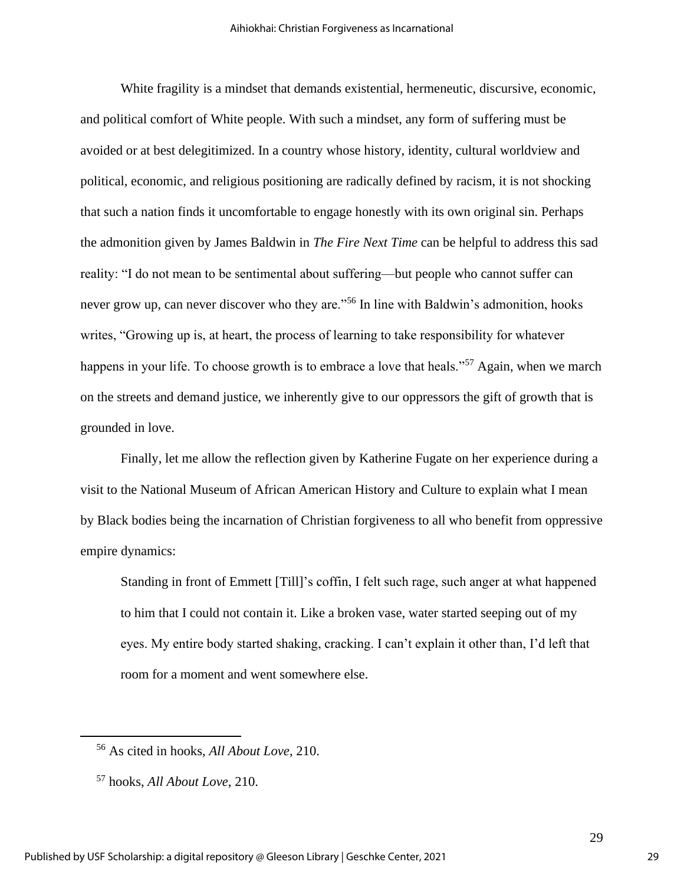White fragility is a mindset that demands existential, hermeneutic, discursive, economic, and political comfort of White people. With such a mindset, any form of suffering must be avoided or at best delegitimized. In a country whose history, identity, cultural worldview and political, economic, and religious positioning are radically defined by racism, it is not shocking that such a nation finds it uncomfortable to engage honestly with its own original sin. Perhaps the admonition given by James Baldwin in *The Fire Next Time* can be helpful to address this sad reality: "I do not mean to be sentimental about suffering—but people who cannot suffer can never grow up, can never discover who they are."<sup>56</sup> In line with Baldwin's admonition, hooks writes, "Growing up is, at heart, the process of learning to take responsibility for whatever happens in your life. To choose growth is to embrace a love that heals."<sup>57</sup> Again, when we march on the streets and demand justice, we inherently give to our oppressors the gift of growth that is grounded in love.

Finally, let me allow the reflection given by Katherine Fugate on her experience during a visit to the National Museum of African American History and Culture to explain what I mean by Black bodies being the incarnation of Christian forgiveness to all who benefit from oppressive empire dynamics:

Standing in front of Emmett [Till]'s coffin, I felt such rage, such anger at what happened to him that I could not contain it. Like a broken vase, water started seeping out of my eyes. My entire body started shaking, cracking. I can't explain it other than, I'd left that room for a moment and went somewhere else.

<sup>56</sup> As cited in hooks, *All About Love*, 210.

<sup>57</sup> hooks, *All About Love*, 210.